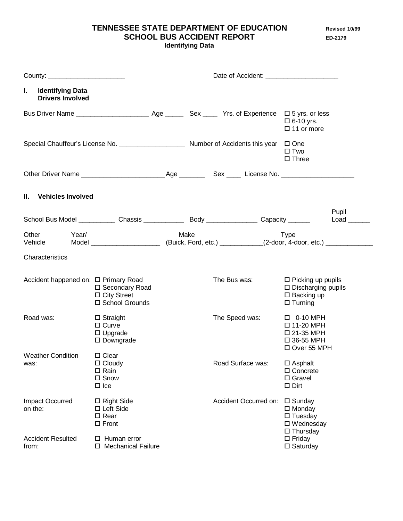**TENNESSEE STATE DEPARTMENT OF EDUCATION Revised 10/99 SCHOOL BUS ACCIDENT REPORT ED-2179** 

**Identifying Data**

| County: _________________________                        | Date of Accident:                                                                       |      |                       |  |                                                                                                 |       |
|----------------------------------------------------------|-----------------------------------------------------------------------------------------|------|-----------------------|--|-------------------------------------------------------------------------------------------------|-------|
| L.<br><b>Identifying Data</b><br><b>Drivers Involved</b> |                                                                                         |      |                       |  |                                                                                                 |       |
|                                                          |                                                                                         |      |                       |  | $\Box$ 6-10 yrs.<br>$\Box$ 11 or more                                                           |       |
|                                                          | Special Chauffeur's License No. _________________________ Number of Accidents this year |      |                       |  | $\Box$ One<br>$\square$ Two<br>$\Box$ Three                                                     |       |
|                                                          |                                                                                         |      |                       |  |                                                                                                 |       |
| II. Vehicles Involved                                    |                                                                                         |      |                       |  |                                                                                                 |       |
|                                                          |                                                                                         |      |                       |  |                                                                                                 | Pupil |
| Other<br>Year/<br>Vehicle                                |                                                                                         | Make |                       |  | <b>Type</b>                                                                                     |       |
| Characteristics                                          |                                                                                         |      |                       |  |                                                                                                 |       |
| Accident happened on: □ Primary Road                     | □ Secondary Road<br>$\Box$ City Street<br>□ School Grounds                              |      | The Bus was:          |  | $\Box$ Picking up pupils<br>$\square$ Discharging pupils<br>$\Box$ Backing up<br>$\Box$ Turning |       |
| Road was:                                                | $\Box$ Straight<br>$\Box$ Curve<br>$\Box$ Upgrade<br>$\square$ Downgrade                |      | The Speed was:        |  | $\Box$ 0-10 MPH<br>□ 11-20 MPH<br>□ 21-35 MPH<br>□ 36-55 MPH<br>□ Over 55 MPH                   |       |
| <b>Weather Condition</b><br>was:                         | $\Box$ Clear<br>$\Box$ Cloudy<br>$\Box$ Rain<br>$\square$ Snow<br>$\Box$ Ice            |      | Road Surface was:     |  | $\square$ Asphalt<br>$\Box$ Concrete<br>$\square$ Gravel<br>$\square$ Dirt                      |       |
| Impact Occurred<br>on the:                               | $\Box$ Right Side<br>$\Box$ Left Side<br>$\square$ Rear<br>$\Box$ Front                 |      | Accident Occurred on: |  | $\square$ Sunday<br>$\square$ Monday<br>$\square$ Tuesday<br>□ Wednesday<br>$\Box$ Thursday     |       |
| <b>Accident Resulted</b><br>from:                        | $\Box$ Human error<br>□ Mechanical Failure                                              |      |                       |  | $\Box$ Friday<br>$\square$ Saturday                                                             |       |